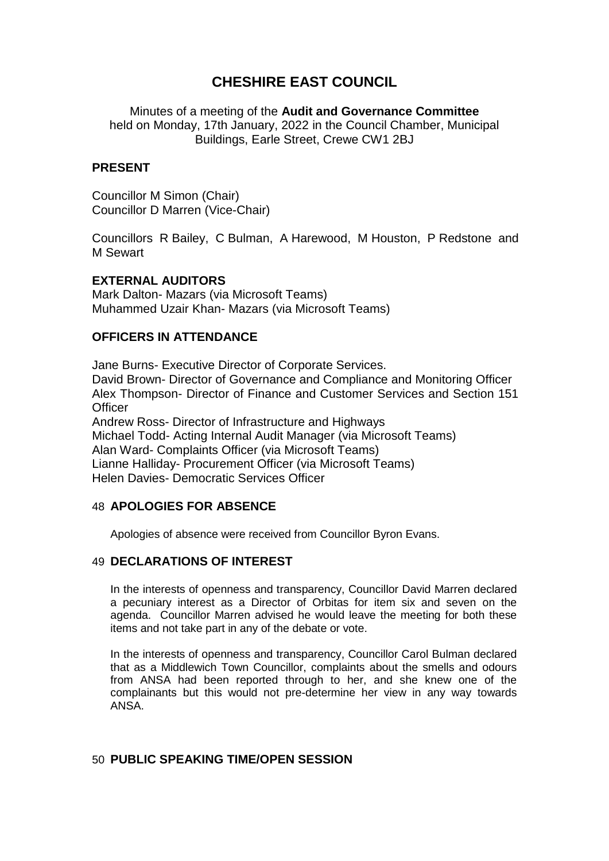# **CHESHIRE EAST COUNCIL**

Minutes of a meeting of the **Audit and Governance Committee** held on Monday, 17th January, 2022 in the Council Chamber, Municipal Buildings, Earle Street, Crewe CW1 2BJ

#### **PRESENT**

Councillor M Simon (Chair) Councillor D Marren (Vice-Chair)

Councillors R Bailey, C Bulman, A Harewood, M Houston, P Redstone and M Sewart

#### **EXTERNAL AUDITORS**

Mark Dalton- Mazars (via Microsoft Teams) Muhammed Uzair Khan- Mazars (via Microsoft Teams)

#### **OFFICERS IN ATTENDANCE**

Jane Burns- Executive Director of Corporate Services. David Brown- Director of Governance and Compliance and Monitoring Officer Alex Thompson- Director of Finance and Customer Services and Section 151 **Officer** Andrew Ross- Director of Infrastructure and Highways Michael Todd- Acting Internal Audit Manager (via Microsoft Teams) Alan Ward- Complaints Officer (via Microsoft Teams)

Lianne Halliday- Procurement Officer (via Microsoft Teams) Helen Davies- Democratic Services Officer

#### 48 **APOLOGIES FOR ABSENCE**

Apologies of absence were received from Councillor Byron Evans.

#### 49 **DECLARATIONS OF INTEREST**

In the interests of openness and transparency, Councillor David Marren declared a pecuniary interest as a Director of Orbitas for item six and seven on the agenda. Councillor Marren advised he would leave the meeting for both these items and not take part in any of the debate or vote.

In the interests of openness and transparency, Councillor Carol Bulman declared that as a Middlewich Town Councillor, complaints about the smells and odours from ANSA had been reported through to her, and she knew one of the complainants but this would not pre-determine her view in any way towards ANSA.

## 50 **PUBLIC SPEAKING TIME/OPEN SESSION**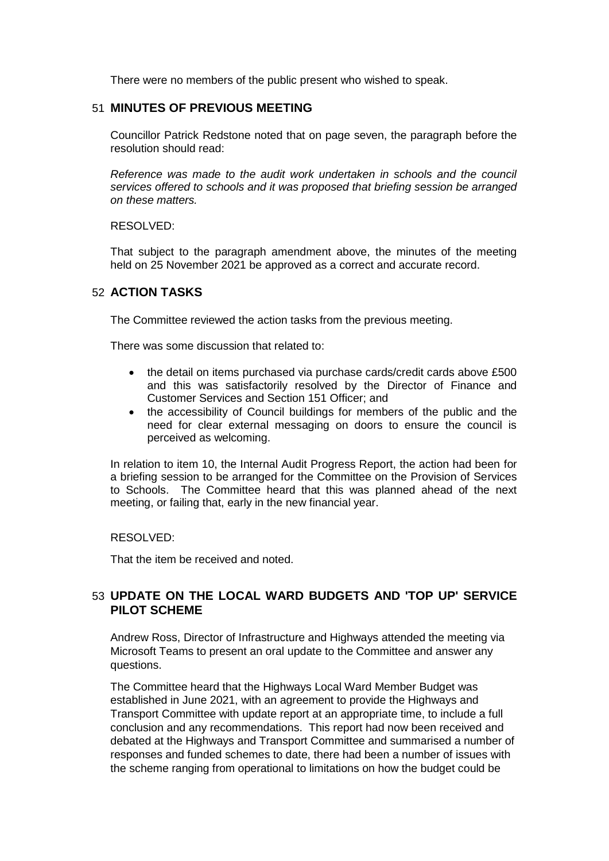There were no members of the public present who wished to speak.

### 51 **MINUTES OF PREVIOUS MEETING**

Councillor Patrick Redstone noted that on page seven, the paragraph before the resolution should read:

*Reference was made to the audit work undertaken in schools and the council services offered to schools and it was proposed that briefing session be arranged on these matters.*

RESOLVED:

That subject to the paragraph amendment above, the minutes of the meeting held on 25 November 2021 be approved as a correct and accurate record.

#### 52 **ACTION TASKS**

The Committee reviewed the action tasks from the previous meeting.

There was some discussion that related to:

- the detail on items purchased via purchase cards/credit cards above £500 and this was satisfactorily resolved by the Director of Finance and Customer Services and Section 151 Officer; and
- the accessibility of Council buildings for members of the public and the need for clear external messaging on doors to ensure the council is perceived as welcoming.

In relation to item 10, the Internal Audit Progress Report, the action had been for a briefing session to be arranged for the Committee on the Provision of Services to Schools. The Committee heard that this was planned ahead of the next meeting, or failing that, early in the new financial year.

RESOLVED:

That the item be received and noted.

## 53 **UPDATE ON THE LOCAL WARD BUDGETS AND 'TOP UP' SERVICE PILOT SCHEME**

Andrew Ross, Director of Infrastructure and Highways attended the meeting via Microsoft Teams to present an oral update to the Committee and answer any questions.

The Committee heard that the Highways Local Ward Member Budget was established in June 2021, with an agreement to provide the Highways and Transport Committee with update report at an appropriate time, to include a full conclusion and any recommendations. This report had now been received and debated at the Highways and Transport Committee and summarised a number of responses and funded schemes to date, there had been a number of issues with the scheme ranging from operational to limitations on how the budget could be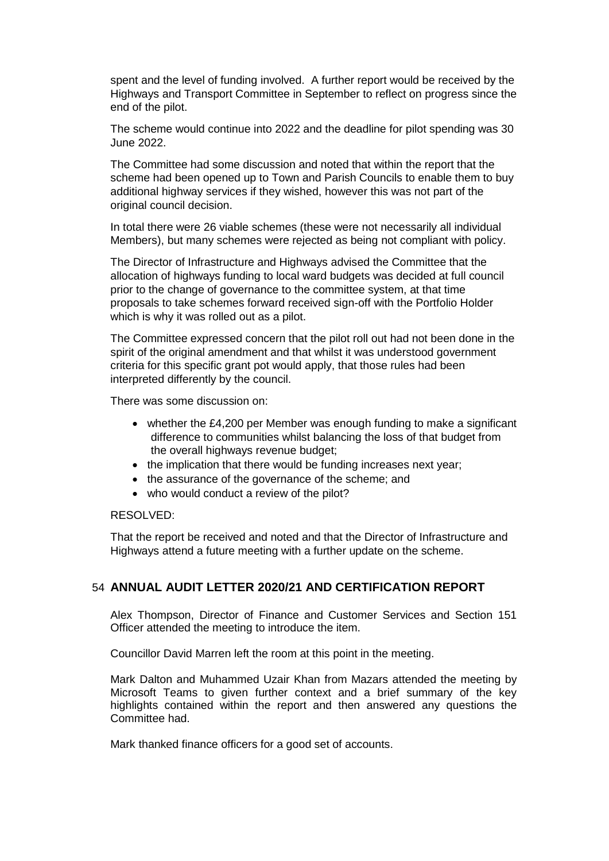spent and the level of funding involved. A further report would be received by the Highways and Transport Committee in September to reflect on progress since the end of the pilot.

The scheme would continue into 2022 and the deadline for pilot spending was 30 June 2022.

The Committee had some discussion and noted that within the report that the scheme had been opened up to Town and Parish Councils to enable them to buy additional highway services if they wished, however this was not part of the original council decision.

In total there were 26 viable schemes (these were not necessarily all individual Members), but many schemes were rejected as being not compliant with policy.

The Director of Infrastructure and Highways advised the Committee that the allocation of highways funding to local ward budgets was decided at full council prior to the change of governance to the committee system, at that time proposals to take schemes forward received sign-off with the Portfolio Holder which is why it was rolled out as a pilot.

The Committee expressed concern that the pilot roll out had not been done in the spirit of the original amendment and that whilst it was understood government criteria for this specific grant pot would apply, that those rules had been interpreted differently by the council.

There was some discussion on:

- whether the £4,200 per Member was enough funding to make a significant difference to communities whilst balancing the loss of that budget from the overall highways revenue budget;
- the implication that there would be funding increases next year;
- the assurance of the governance of the scheme; and
- who would conduct a review of the pilot?

#### RESOLVED:

That the report be received and noted and that the Director of Infrastructure and Highways attend a future meeting with a further update on the scheme.

#### 54 **ANNUAL AUDIT LETTER 2020/21 AND CERTIFICATION REPORT**

Alex Thompson, Director of Finance and Customer Services and Section 151 Officer attended the meeting to introduce the item.

Councillor David Marren left the room at this point in the meeting.

Mark Dalton and Muhammed Uzair Khan from Mazars attended the meeting by Microsoft Teams to given further context and a brief summary of the key highlights contained within the report and then answered any questions the Committee had.

Mark thanked finance officers for a good set of accounts.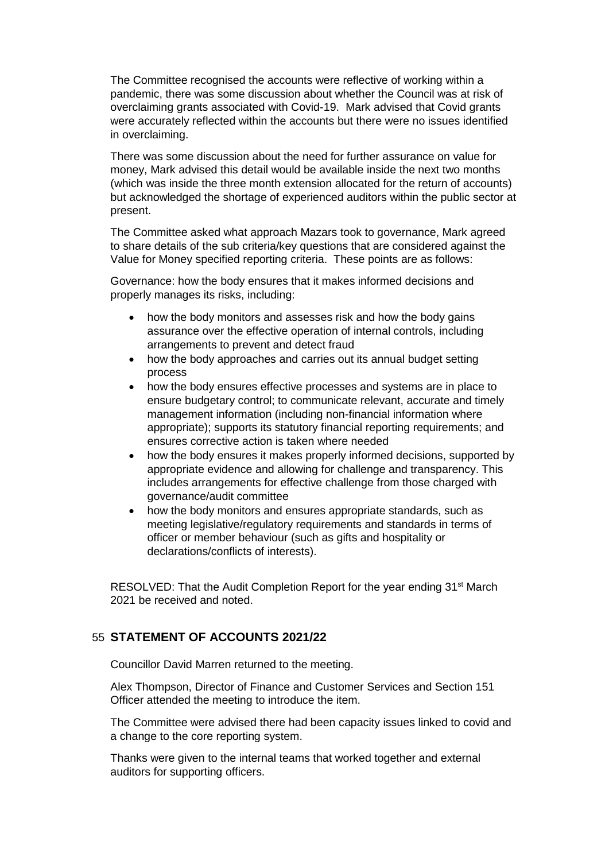The Committee recognised the accounts were reflective of working within a pandemic, there was some discussion about whether the Council was at risk of overclaiming grants associated with Covid-19. Mark advised that Covid grants were accurately reflected within the accounts but there were no issues identified in overclaiming.

There was some discussion about the need for further assurance on value for money, Mark advised this detail would be available inside the next two months (which was inside the three month extension allocated for the return of accounts) but acknowledged the shortage of experienced auditors within the public sector at present.

The Committee asked what approach Mazars took to governance, Mark agreed to share details of the sub criteria/key questions that are considered against the Value for Money specified reporting criteria. These points are as follows:

Governance: how the body ensures that it makes informed decisions and properly manages its risks, including:

- how the body monitors and assesses risk and how the body gains assurance over the effective operation of internal controls, including arrangements to prevent and detect fraud
- how the body approaches and carries out its annual budget setting process
- how the body ensures effective processes and systems are in place to ensure budgetary control; to communicate relevant, accurate and timely management information (including non-financial information where appropriate); supports its statutory financial reporting requirements; and ensures corrective action is taken where needed
- how the body ensures it makes properly informed decisions, supported by appropriate evidence and allowing for challenge and transparency. This includes arrangements for effective challenge from those charged with governance/audit committee
- how the body monitors and ensures appropriate standards, such as meeting legislative/regulatory requirements and standards in terms of officer or member behaviour (such as gifts and hospitality or declarations/conflicts of interests).

RESOLVED: That the Audit Completion Report for the year ending 31<sup>st</sup> March 2021 be received and noted.

## 55 **STATEMENT OF ACCOUNTS 2021/22**

Councillor David Marren returned to the meeting.

Alex Thompson, Director of Finance and Customer Services and Section 151 Officer attended the meeting to introduce the item.

The Committee were advised there had been capacity issues linked to covid and a change to the core reporting system.

Thanks were given to the internal teams that worked together and external auditors for supporting officers.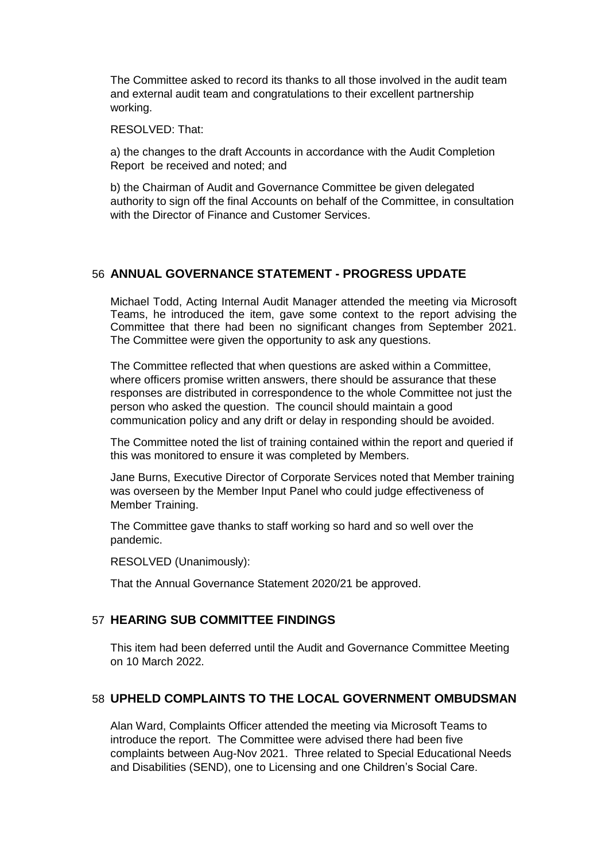The Committee asked to record its thanks to all those involved in the audit team and external audit team and congratulations to their excellent partnership working.

RESOLVED: That:

a) the changes to the draft Accounts in accordance with the Audit Completion Report be received and noted; and

b) the Chairman of Audit and Governance Committee be given delegated authority to sign off the final Accounts on behalf of the Committee, in consultation with the Director of Finance and Customer Services.

#### 56 **ANNUAL GOVERNANCE STATEMENT - PROGRESS UPDATE**

Michael Todd, Acting Internal Audit Manager attended the meeting via Microsoft Teams, he introduced the item, gave some context to the report advising the Committee that there had been no significant changes from September 2021. The Committee were given the opportunity to ask any questions.

The Committee reflected that when questions are asked within a Committee, where officers promise written answers, there should be assurance that these responses are distributed in correspondence to the whole Committee not just the person who asked the question. The council should maintain a good communication policy and any drift or delay in responding should be avoided.

The Committee noted the list of training contained within the report and queried if this was monitored to ensure it was completed by Members.

Jane Burns, Executive Director of Corporate Services noted that Member training was overseen by the Member Input Panel who could judge effectiveness of Member Training.

The Committee gave thanks to staff working so hard and so well over the pandemic.

RESOLVED (Unanimously):

That the Annual Governance Statement 2020/21 be approved.

#### 57 **HEARING SUB COMMITTEE FINDINGS**

This item had been deferred until the Audit and Governance Committee Meeting on 10 March 2022.

#### 58 **UPHELD COMPLAINTS TO THE LOCAL GOVERNMENT OMBUDSMAN**

Alan Ward, Complaints Officer attended the meeting via Microsoft Teams to introduce the report. The Committee were advised there had been five complaints between Aug-Nov 2021. Three related to Special Educational Needs and Disabilities (SEND), one to Licensing and one Children's Social Care.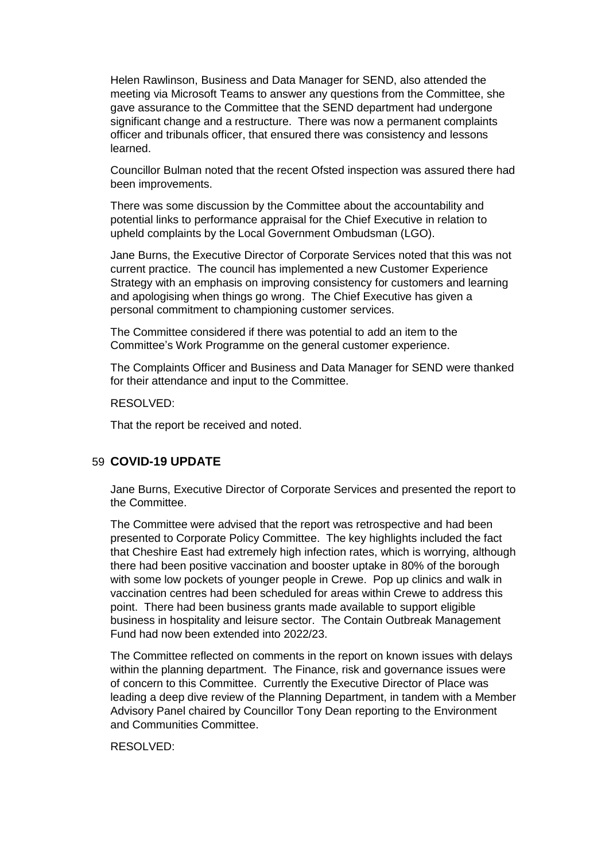Helen Rawlinson, Business and Data Manager for SEND, also attended the meeting via Microsoft Teams to answer any questions from the Committee, she gave assurance to the Committee that the SEND department had undergone significant change and a restructure. There was now a permanent complaints officer and tribunals officer, that ensured there was consistency and lessons learned.

Councillor Bulman noted that the recent Ofsted inspection was assured there had been improvements.

There was some discussion by the Committee about the accountability and potential links to performance appraisal for the Chief Executive in relation to upheld complaints by the Local Government Ombudsman (LGO).

Jane Burns, the Executive Director of Corporate Services noted that this was not current practice. The council has implemented a new Customer Experience Strategy with an emphasis on improving consistency for customers and learning and apologising when things go wrong. The Chief Executive has given a personal commitment to championing customer services.

The Committee considered if there was potential to add an item to the Committee's Work Programme on the general customer experience.

The Complaints Officer and Business and Data Manager for SEND were thanked for their attendance and input to the Committee.

RESOLVED:

That the report be received and noted.

#### 59 **COVID-19 UPDATE**

Jane Burns, Executive Director of Corporate Services and presented the report to the Committee.

The Committee were advised that the report was retrospective and had been presented to Corporate Policy Committee. The key highlights included the fact that Cheshire East had extremely high infection rates, which is worrying, although there had been positive vaccination and booster uptake in 80% of the borough with some low pockets of younger people in Crewe. Pop up clinics and walk in vaccination centres had been scheduled for areas within Crewe to address this point. There had been business grants made available to support eligible business in hospitality and leisure sector. The Contain Outbreak Management Fund had now been extended into 2022/23.

The Committee reflected on comments in the report on known issues with delays within the planning department. The Finance, risk and governance issues were of concern to this Committee. Currently the Executive Director of Place was leading a deep dive review of the Planning Department, in tandem with a Member Advisory Panel chaired by Councillor Tony Dean reporting to the Environment and Communities Committee.

RESOLVED: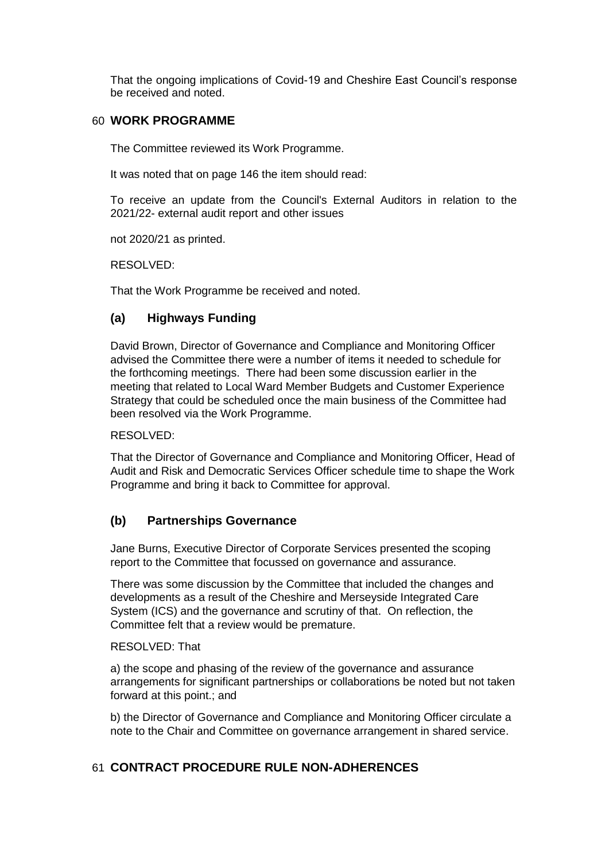That the ongoing implications of Covid-19 and Cheshire East Council's response be received and noted.

#### 60 **WORK PROGRAMME**

The Committee reviewed its Work Programme.

It was noted that on page 146 the item should read:

To receive an update from the Council's External Auditors in relation to the 2021/22- external audit report and other issues

not 2020/21 as printed.

RESOLVED:

That the Work Programme be received and noted.

## **(a) Highways Funding**

David Brown, Director of Governance and Compliance and Monitoring Officer advised the Committee there were a number of items it needed to schedule for the forthcoming meetings. There had been some discussion earlier in the meeting that related to Local Ward Member Budgets and Customer Experience Strategy that could be scheduled once the main business of the Committee had been resolved via the Work Programme.

RESOLVED:

That the Director of Governance and Compliance and Monitoring Officer, Head of Audit and Risk and Democratic Services Officer schedule time to shape the Work Programme and bring it back to Committee for approval.

## **(b) Partnerships Governance**

Jane Burns, Executive Director of Corporate Services presented the scoping report to the Committee that focussed on governance and assurance.

There was some discussion by the Committee that included the changes and developments as a result of the Cheshire and Merseyside Integrated Care System (ICS) and the governance and scrutiny of that. On reflection, the Committee felt that a review would be premature.

#### RESOLVED: That

a) the scope and phasing of the review of the governance and assurance arrangements for significant partnerships or collaborations be noted but not taken forward at this point.; and

b) the Director of Governance and Compliance and Monitoring Officer circulate a note to the Chair and Committee on governance arrangement in shared service.

## 61 **CONTRACT PROCEDURE RULE NON-ADHERENCES**